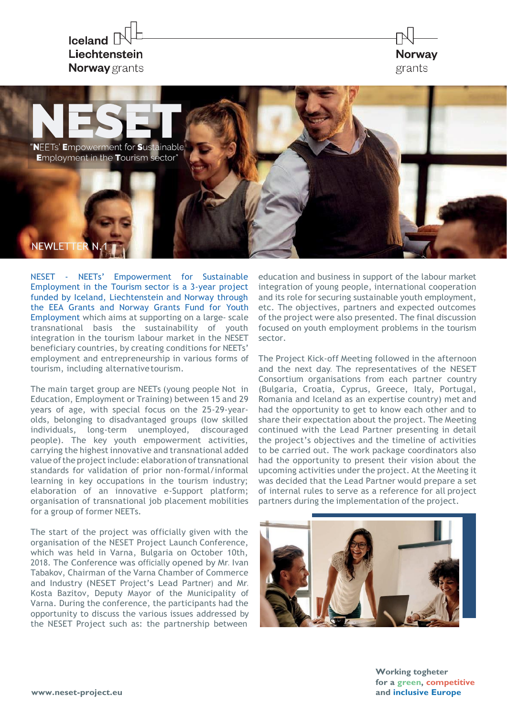

**NEETs' Empowerment for Sustainable Employment in the Tourism sector"** 

**NEWLETTE** 

NESET - NEETs' Empowerment for Sustainable Employment in the Tourism sector is a 3-year project funded by Iceland, Liechtenstein and Norway through the EEA Grants and Norway Grants Fund for Youth Employment which aims at supporting on a large- scale transnational basis the sustainability of youth integration in the tourism labour market in the NESET beneficiary countries, by creating conditions for NEETs' employment and entrepreneurship in various forms of tourism, including alternativetourism.

The main target group are NEETs (young people Not in Education, Employment or Training) between 15 and 29 years of age, with special focus on the 25-29-yearolds, belonging to disadvantaged groups (low skilled individuals, long-term unemployed, discouraged people). The key youth empowerment activities, carrying the highest innovative and transnational added value of the project include: elaboration of transnational standards for validation of prior non-formal/informal learning in key occupations in the tourism industry; elaboration of an innovative e-Support platform; organisation of transnational job placement mobilities for a group of former NEETs.

The start of the project was officially given with the organisation of the NESET Project Launch Conference, which was held in Varna, Bulgaria on October 10th, 2018. The Conference was officially opened by Mr. Ivan Tabakov, Chairman of the Varna Chamber of Commerce and Industry (NESET Project's Lead Partner) and Mr. Kosta Bazitov, Deputy Mayor of the Municipality of Varna. During the conference, the participants had the opportunity to discuss the various issues addressed by the NESET Project such as: the partnership between

education and business in support of the labour market integration of young people, international cooperation and its role for securing sustainable youth employment, etc. The objectives, partners and expected outcomes of the project were also presented. The final discussion focused on youth employment problems in the tourism sector.

**Norway** 

grants

The Project Kick-off Meeting followed in the afternoon and the next day. The representatives of the NESET Consortium organisations from each partner country (Bulgaria, Croatia, Cyprus, Greece, Italy, Portugal, Romania and Iceland as an expertise country) met and had the opportunity to get to know each other and to share their expectation about the project. The Meeting continued with the Lead Partner presenting in detail the project's objectives and the timeline of activities to be carried out. The work package coordinators also had the opportunity to present their vision about the upcoming activities under the project. At the Meeting it was decided that the Lead Partner would prepare a set of internal rules to serve as a reference for all project partners during the implementation of the project.



**Working togheter for a green, competitive and inclusive Europe**